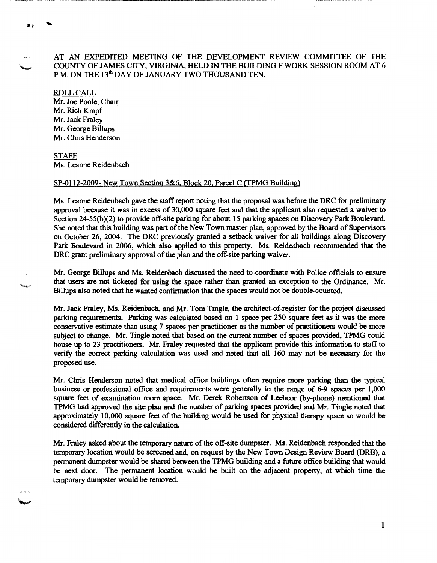AT AN EXPEDITED MEETING OF THE DEVELOPMENT REVIEW COMMfiTEE OF THE COUNTY OF JAMES CITY, VIRGINIA, HELD IN THE BUILDING F WORK SESSION ROOM AT 6 P.M. ON THE 13<sup>th</sup> DAY OF JANUARY TWO THOUSAND TEN.

ROLLCALL Mr. Joe Poole, Chair Mr. Rich Krapf Mr. Jack Fraley Mr. George Billups Mr. Chris Henderson

手令

STAFF Ms. Leanne Reidenbach

## SP-0112-2009- New Town Section 3&6. Block 20. Parcel C (TPMG Building)

Ms. Leanne Reidenbach gave the staff report noting that the proposal was before the DRC for preliminary approval because it was in excess of 30,000 square feet and that the applicant also requested a waiver to Section 24-55(b)(2) to provide off-site parking for about 15 parking spaces on Discovery Park Boulevard. She noted that this building was part of the New Town master plan, approved by the Board of Supervisors on October 26, 2004. The DRC previously granted a setback waiver for all buildings along Discovery Park Boulevard in 2006, which also applied to this property. Ms. Reidenbach recommended that the DRC grant preliminary approval of the plan and the off-site parking waiver.

Mr. George Billups and Ms. Reidenbach discussed the need to coordinate with Police officials to ensure that users are not ticketed for using the space rather than granted an exception to the Ordinance. Mr. Billups also noted that he wanted confirmation that the spaces would not be double-counted.

Mr. Jack Fraley, Ms. Reidenbach, and Mr. Tom Tingle, the architect-of-register for the project discussed parking requirements. Parking was calculated based on 1 space per 250 square feet as it was the more conservative estimate than using 7 spaces per practitioner as the number of practitioners would be more subject to change. Mr. Tingle noted that based on the current number of spaces provided, TPMG could house up to 23 practitioners. Mr. Fraley requested that the applicant provide this information to staff to verify the correct parking calculation was used and noted that all 160 may not be necessary for the proposed use.

Mr. Chris Henderson noted that medical office buildings often require more parking than the typical business or professional office and requirements were generally in the range of 6-9 spaces per 1,000 square feet of examination room space. Mr. Derek Robertson of Leebcor (by-phone) mentioned that TPMG had approved the site plan and the number of parking spaces provided and Mr. Tingle noted that approximately 10,000 square feet of the building would be used for physical therapy space so would be considered differently in the calculation.

Mr. Fraley asked about the temporary nature of the off-site dumpster. Ms. Reidenbach responded that the temporary location would be screened and, on request by the New Town Design Review Board (DRB), a permanent dumpster would be shared between the TPMG building and a future office building that would be next door. The permanent location would be built on the adjacent property, at which time the temporary dumpster would be removed.

1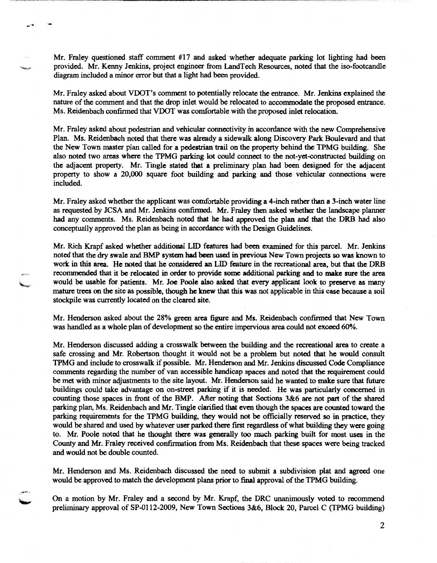Mr. Fraley questioned staff comment #17 and asked whether adequate parking lot lighting had been provided. Mr. Kenny Jenkins, project engineer from LandTech Resources, noted that the iso-footcandle diagram included a minor error but that a light had been provided.

Mr. Fraley asked about VOOT's comment to potentially relocate the entrance. Mr. Jenkins explained the nature of the comment and that the drop inlet would be relocated to accommodate the proposed entrance. Ms. Reidenbach confirmed that VOOT was comfortable with the proposed inlet relocation.

Mr. Fraley asked about pedestrian and vehicular connectivity in accordance with the new Comprehensive Plan. Ms. Reidenbach noted that there was already a sidewalk along Discovery Park: Boulevard and that the New Town master plan called for a pedestrian trail on the property behind the TPMG building. She also noted two areas where the TPMG parking lot could connect to the not-yet-constructed building on the adjacent property. Mr. Tingle stated that a preliminary plan had been designed for the adjacent property to show a 20,000 square foot building and parking and those vehicular connections were included.

Mr. Fraley asked whether the applicant was comfortable providing a 4-inch rather than a 3-inch water line as requested by JCSA and Mr. Jenkins confirmed. Mr. Fraley then asked whether the landscape planner had any comments. Ms. Reidenbach noted that he had approved the plan and that the DRB had also conceptually approved the plan as being in accordance with the Design Guidelines.

Mr. Rich Krapf asked whether additional LID features had been examined for this parcel. Mr. Jenkins noted that the dry swale and BMP system had been used in previous New Town projects so was known to work in this area. He noted that he considered an LID feature in the recreational area, but that the DRB recommended that it be relocated in order to provide some additional parking and to make sure the area would be usable for patients. Mr. Joe Poole also asked that every applicant look to preserve as many mature trees on the site as possible, though he knew that this was not applicable in this case because a soil stockpile was currently located on the cleared site.

Mr. Henderson asked about the 28% green area figure and Ms. Reidenbach confirmed that New Town was handled as a whole plan of development so the entire impervious area could not exceed 60%.

Mr. Henderson discussed adding a crosswalk between the building and the recreational area to create a safe crossing and Mr. Robertson thought it would not be a problem but noted that he would consult TPMG and include to crosswalk if possible. Mr. Henderson and Mr. Jenkins discussed Code Compliance comments regarding the number of van accessible handicap spaces and noted that the requirement could be met with minor adjustments to the site layout. Mr. Henderson said he wanted to malce sure that future buildings could take advantage on on-street parking if it is needed. He was particularly concerned in counting those spaces in front of the BMP. After noting that Sections 3&6 are not part of the shared parking plan, Ms. Reidenbach and Mr. Tingle clarified that even though the spaces are counted toward the parking requirements for the TPMG building, they would not be officially reserved so in practice, they would be shared and used by whatever user parked there first regardless of what building they were going to. Mr. Poole noted that he thought there was generally too much parking built for most uses in the County and Mr. Fraley received confirmation from Ms. Reidenbach that these spaces were being tracked and would not be double counted.

Mr. Henderson and Ms. Reidenbach discussed the need to submit a subdivision plat and agreed one would be approved to match the development plans prior to final approval of the TPMG building.

On a motion by Mr. Fraley and a second by Mr. Krapf, the DRC unanimously voted to recommend preliminary approval of SP-0112-2009, New Town Sections 3&6, Block 20, Parcel C (TPMG building)

2